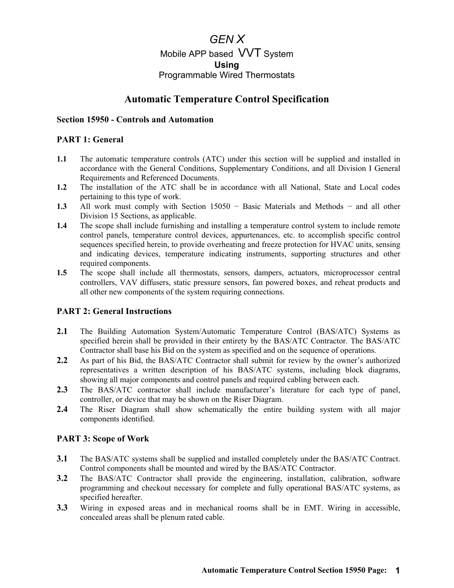# *GEN X*  Mobile APP based VVT System **Using** Programmable Wired Thermostats

## **Automatic Temperature Control Specification**

#### **Section 15950 - Controls and Automation**

#### **PART 1: General**

- **1.1** The automatic temperature controls (ATC) under this section will be supplied and installed in accordance with the General Conditions, Supplementary Conditions, and all Division I General Requirements and Referenced Documents.
- **1.2** The installation of the ATC shall be in accordance with all National, State and Local codes pertaining to this type of work.
- **1.3** All work must comply with Section 15050 − Basic Materials and Methods − and all other Division 15 Sections, as applicable.
- **1.4** The scope shall include furnishing and installing a temperature control system to include remote control panels, temperature control devices, appurtenances, etc. to accomplish specific control sequences specified herein, to provide overheating and freeze protection for HVAC units, sensing and indicating devices, temperature indicating instruments, supporting structures and other required components.
- **1.5** The scope shall include all thermostats, sensors, dampers, actuators, microprocessor central controllers, VAV diffusers, static pressure sensors, fan powered boxes, and reheat products and all other new components of the system requiring connections.

#### **PART 2: General Instructions**

- **2.1** The Building Automation System/Automatic Temperature Control (BAS/ATC) Systems as specified herein shall be provided in their entirety by the BAS/ATC Contractor. The BAS/ATC Contractor shall base his Bid on the system as specified and on the sequence of operations.
- **2.2** As part of his Bid, the BAS/ATC Contractor shall submit for review by the owner's authorized representatives a written description of his BAS/ATC systems, including block diagrams, showing all major components and control panels and required cabling between each.
- **2.3** The BAS/ATC contractor shall include manufacturer's literature for each type of panel, controller, or device that may be shown on the Riser Diagram.
- **2.4** The Riser Diagram shall show schematically the entire building system with all major components identified.

#### **PART 3: Scope of Work**

- **3.1** The BAS/ATC systems shall be supplied and installed completely under the BAS/ATC Contract. Control components shall be mounted and wired by the BAS/ATC Contractor.
- **3.2** The BAS/ATC Contractor shall provide the engineering, installation, calibration, software programming and checkout necessary for complete and fully operational BAS/ATC systems, as specified hereafter.
- **3.3** Wiring in exposed areas and in mechanical rooms shall be in EMT. Wiring in accessible, concealed areas shall be plenum rated cable.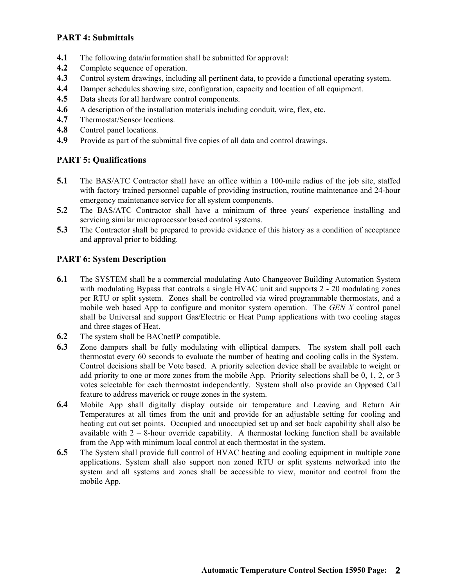#### **PART 4: Submittals**

- **4.1** The following data/information shall be submitted for approval:
- **4.2** Complete sequence of operation.
- **4.3** Control system drawings, including all pertinent data, to provide a functional operating system.
- **4.4** Damper schedules showing size, configuration, capacity and location of all equipment.
- **4.5** Data sheets for all hardware control components.
- **4.6** A description of the installation materials including conduit, wire, flex, etc.
- **4.7** Thermostat/Sensor locations.
- **4.8** Control panel locations.
- **4.9** Provide as part of the submittal five copies of all data and control drawings.

#### **PART 5: Qualifications**

- **5.1** The BAS/ATC Contractor shall have an office within a 100-mile radius of the job site, staffed with factory trained personnel capable of providing instruction, routine maintenance and 24-hour emergency maintenance service for all system components.
- **5.2** The BAS/ATC Contractor shall have a minimum of three years' experience installing and servicing similar microprocessor based control systems.
- **5.3** The Contractor shall be prepared to provide evidence of this history as a condition of acceptance and approval prior to bidding.

#### **PART 6: System Description**

- **6.1** The SYSTEM shall be a commercial modulating Auto Changeover Building Automation System with modulating Bypass that controls a single HVAC unit and supports 2 - 20 modulating zones per RTU or split system. Zones shall be controlled via wired programmable thermostats, and a mobile web based App to configure and monitor system operation. The *GEN X* control panel shall be Universal and support Gas/Electric or Heat Pump applications with two cooling stages and three stages of Heat.
- **6.2** The system shall be BACnetIP compatible.
- **6.3** Zone dampers shall be fully modulating with elliptical dampers. The system shall poll each thermostat every 60 seconds to evaluate the number of heating and cooling calls in the System. Control decisions shall be Vote based. A priority selection device shall be available to weight or add priority to one or more zones from the mobile App. Priority selections shall be 0, 1, 2, or 3 votes selectable for each thermostat independently. System shall also provide an Opposed Call feature to address maverick or rouge zones in the system.
- **6.4** Mobile App shall digitally display outside air temperature and Leaving and Return Air Temperatures at all times from the unit and provide for an adjustable setting for cooling and heating cut out set points. Occupied and unoccupied set up and set back capability shall also be available with  $2 - 8$ -hour override capability. A thermostat locking function shall be available from the App with minimum local control at each thermostat in the system.
- **6.5** The System shall provide full control of HVAC heating and cooling equipment in multiple zone applications. System shall also support non zoned RTU or split systems networked into the system and all systems and zones shall be accessible to view, monitor and control from the mobile App.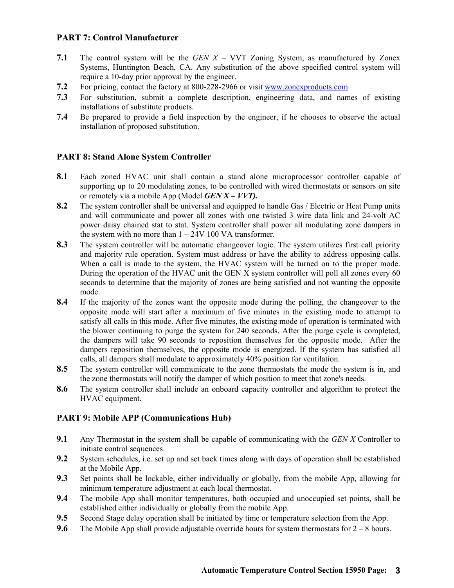#### **PART 7: Control Manufacturer**

- **7.1** The control system will be the *GEN X* VVT Zoning System, as manufactured by Zonex Systems, Huntington Beach, CA. Any substitution of the above specified control system will require a 10-day prior approval by the engineer.
- **7.2** For pricing, contact the factory at 800-228-2966 or visit www.zonexproducts.com
- **7.3** For substitution, submit a complete description, engineering data, and names of existing installations of substitute products.
- **7.4** Be prepared to provide a field inspection by the engineer, if he chooses to observe the actual installation of proposed substitution.

#### **PART 8: Stand Alone System Controller**

- **8.1** Each zoned HVAC unit shall contain a stand alone microprocessor controller capable of supporting up to 20 modulating zones, to be controlled with wired thermostats or sensors on site or remotely via a mobile App (Model *GEN X – VVT).*
- **8.2** The system controller shall be universal and equipped to handle Gas / Electric or Heat Pump units and will communicate and power all zones with one twisted 3 wire data link and 24-volt AC power daisy chained stat to stat. System controller shall power all modulating zone dampers in the system with no more than  $1 - 24V 100 VA$  transformer.
- **8.3** The system controller will be automatic changeover logic. The system utilizes first call priority and majority rule operation. System must address or have the ability to address opposing calls. When a call is made to the system, the HVAC system will be turned on to the proper mode. During the operation of the HVAC unit the GEN X system controller will poll all zones every 60 seconds to determine that the majority of zones are being satisfied and not wanting the opposite mode.
- **8.4** If the majority of the zones want the opposite mode during the polling, the changeover to the opposite mode will start after a maximum of five minutes in the existing mode to attempt to satisfy all calls in this mode. After five minutes, the existing mode of operation is terminated with the blower continuing to purge the system for 240 seconds. After the purge cycle is completed, the dampers will take 90 seconds to reposition themselves for the opposite mode. After the dampers reposition themselves, the opposite mode is energized. If the system has satisfied all calls, all dampers shall modulate to approximately 40% position for ventilation.
- **8.5** The system controller will communicate to the zone thermostats the mode the system is in, and the zone thermostats will notify the damper of which position to meet that zone's needs.
- **8.6** The system controller shall include an onboard capacity controller and algorithm to protect the HVAC equipment.

#### **PART 9: Mobile APP (Communications Hub)**

- **9.1** Any Thermostat in the system shall be capable of communicating with the *GEN X* Controller to initiate control sequences.
- **9.2** System schedules, i.e. set up and set back times along with days of operation shall be established at the Mobile App.
- **9.3** Set points shall be lockable, either individually or globally, from the mobile App, allowing for minimum temperature adjustment at each local thermostat.
- **9.4** The mobile App shall monitor temperatures, both occupied and unoccupied set points, shall be established either individually or globally from the mobile App.
- **9.5** Second Stage delay operation shall be initiated by time or temperature selection from the App.
- **9.6** The Mobile App shall provide adjustable override hours for system thermostats for 2 8 hours.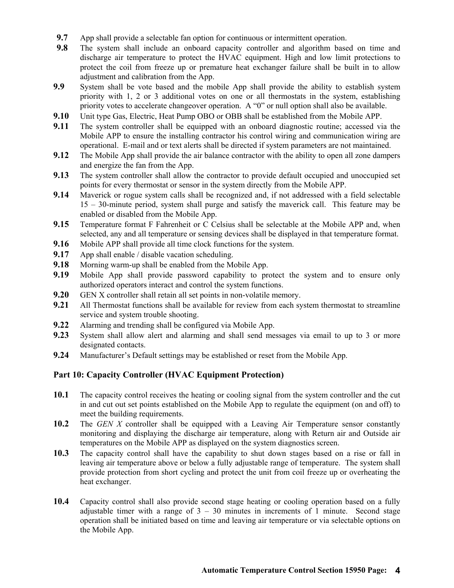- **9.7** App shall provide a selectable fan option for continuous or intermittent operation.
- **9.8** The system shall include an onboard capacity controller and algorithm based on time and discharge air temperature to protect the HVAC equipment. High and low limit protections to protect the coil from freeze up or premature heat exchanger failure shall be built in to allow adjustment and calibration from the App.
- **9.9** System shall be vote based and the mobile App shall provide the ability to establish system priority with 1, 2 or 3 additional votes on one or all thermostats in the system, establishing priority votes to accelerate changeover operation. A "0" or null option shall also be available.
- **9.10** Unit type Gas, Electric, Heat Pump OBO or OBB shall be established from the Mobile APP.
- **9.11** The system controller shall be equipped with an onboard diagnostic routine; accessed via the Mobile APP to ensure the installing contractor his control wiring and communication wiring are operational. E-mail and or text alerts shall be directed if system parameters are not maintained.
- **9.12** The Mobile App shall provide the air balance contractor with the ability to open all zone dampers and energize the fan from the App.
- **9.13** The system controller shall allow the contractor to provide default occupied and unoccupied set points for every thermostat or sensor in the system directly from the Mobile APP.
- **9.14** Maverick or rogue system calls shall be recognized and, if not addressed with a field selectable 15 – 30-minute period, system shall purge and satisfy the maverick call. This feature may be enabled or disabled from the Mobile App.
- **9.15** Temperature format F Fahrenheit or C Celsius shall be selectable at the Mobile APP and, when selected, any and all temperature or sensing devices shall be displayed in that temperature format.
- **9.16** Mobile APP shall provide all time clock functions for the system.
- **9.17** App shall enable / disable vacation scheduling.
- **9.18** Morning warm-up shall be enabled from the Mobile App.
- **9.19** Mobile App shall provide password capability to protect the system and to ensure only authorized operators interact and control the system functions.
- **9.20** GEN X controller shall retain all set points in non-volatile memory.
- **9.21** All Thermostat functions shall be available for review from each system thermostat to streamline service and system trouble shooting.
- **9.22** Alarming and trending shall be configured via Mobile App.
- **9.23** System shall allow alert and alarming and shall send messages via email to up to 3 or more designated contacts.
- **9.24** Manufacturer's Default settings may be established or reset from the Mobile App.

#### **Part 10: Capacity Controller (HVAC Equipment Protection)**

- **10.1** The capacity control receives the heating or cooling signal from the system controller and the cut in and cut out set points established on the Mobile App to regulate the equipment (on and off) to meet the building requirements.
- **10.2** The *GEN X* controller shall be equipped with a Leaving Air Temperature sensor constantly monitoring and displaying the discharge air temperature, along with Return air and Outside air temperatures on the Mobile APP as displayed on the system diagnostics screen.
- **10.3** The capacity control shall have the capability to shut down stages based on a rise or fall in leaving air temperature above or below a fully adjustable range of temperature. The system shall provide protection from short cycling and protect the unit from coil freeze up or overheating the heat exchanger.
- **10.4** Capacity control shall also provide second stage heating or cooling operation based on a fully adjustable timer with a range of  $3 - 30$  minutes in increments of 1 minute. Second stage operation shall be initiated based on time and leaving air temperature or via selectable options on the Mobile App.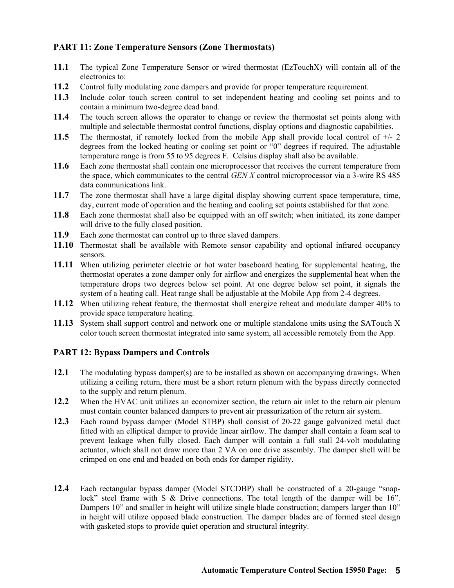#### **PART 11: Zone Temperature Sensors (Zone Thermostats)**

- **11.1** The typical Zone Temperature Sensor or wired thermostat (EzTouchX) will contain all of the electronics to:
- **11.2** Control fully modulating zone dampers and provide for proper temperature requirement.
- **11.3** Include color touch screen control to set independent heating and cooling set points and to contain a minimum two-degree dead band.
- **11.4** The touch screen allows the operator to change or review the thermostat set points along with multiple and selectable thermostat control functions, display options and diagnostic capabilities.
- **11.5** The thermostat, if remotely locked from the mobile App shall provide local control of +/- 2 degrees from the locked heating or cooling set point or "0" degrees if required. The adjustable temperature range is from 55 to 95 degrees F. Celsius display shall also be available.
- **11.6** Each zone thermostat shall contain one microprocessor that receives the current temperature from the space, which communicates to the central *GEN X* control microprocessor via a 3-wire RS 485 data communications link.
- **11.7** The zone thermostat shall have a large digital display showing current space temperature, time, day, current mode of operation and the heating and cooling set points established for that zone.
- **11.8** Each zone thermostat shall also be equipped with an off switch; when initiated, its zone damper will drive to the fully closed position.
- **11.9** Each zone thermostat can control up to three slaved dampers.
- **11.10** Thermostat shall be available with Remote sensor capability and optional infrared occupancy sensors.
- **11.11** When utilizing perimeter electric or hot water baseboard heating for supplemental heating, the thermostat operates a zone damper only for airflow and energizes the supplemental heat when the temperature drops two degrees below set point. At one degree below set point, it signals the system of a heating call. Heat range shall be adjustable at the Mobile App from 2-4 degrees.
- **11.12** When utilizing reheat feature, the thermostat shall energize reheat and modulate damper 40% to provide space temperature heating.
- **11.13** System shall support control and network one or multiple standalone units using the SATouch X color touch screen thermostat integrated into same system, all accessible remotely from the App.

#### **PART 12: Bypass Dampers and Controls**

- **12.1** The modulating bypass damper(s) are to be installed as shown on accompanying drawings. When utilizing a ceiling return, there must be a short return plenum with the bypass directly connected to the supply and return plenum.
- **12.2** When the HVAC unit utilizes an economizer section, the return air inlet to the return air plenum must contain counter balanced dampers to prevent air pressurization of the return air system.
- **12.3** Each round bypass damper (Model STBP) shall consist of 20-22 gauge galvanized metal duct fitted with an elliptical damper to provide linear airflow. The damper shall contain a foam seal to prevent leakage when fully closed. Each damper will contain a full stall 24-volt modulating actuator, which shall not draw more than 2 VA on one drive assembly. The damper shell will be crimped on one end and beaded on both ends for damper rigidity.
- **12.4** Each rectangular bypass damper (Model STCDBP) shall be constructed of a 20-gauge "snaplock" steel frame with S & Drive connections. The total length of the damper will be 16". Dampers 10" and smaller in height will utilize single blade construction; dampers larger than 10" in height will utilize opposed blade construction. The damper blades are of formed steel design with gasketed stops to provide quiet operation and structural integrity.